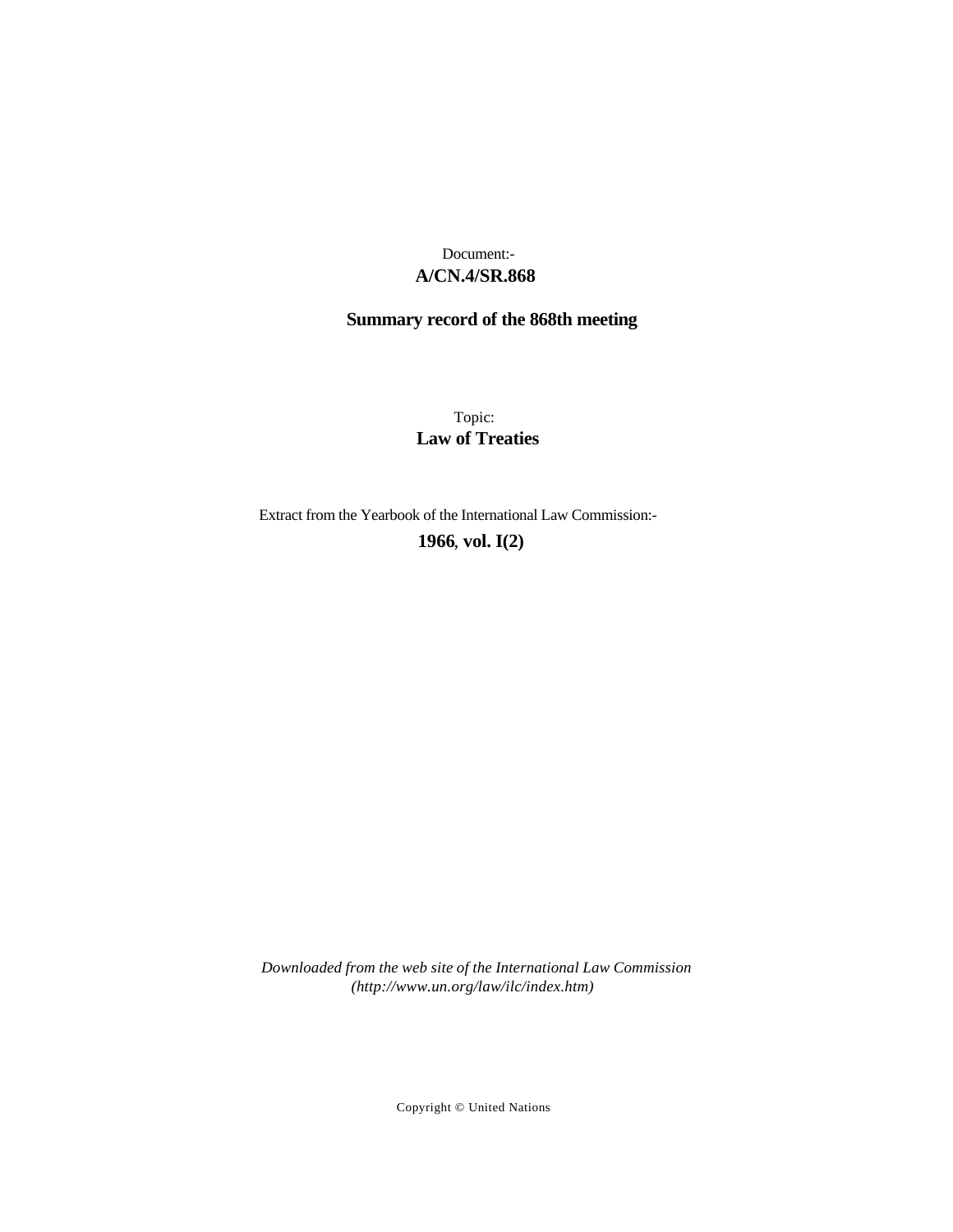# **A/CN.4/SR.868** Document:-

# **Summary record of the 868th meeting**

Topic: **Law of Treaties**

Extract from the Yearbook of the International Law Commission:-

**1966** , **vol. I(2)**

*Downloaded from the web site of the International Law Commission (http://www.un.org/law/ilc/index.htm)*

Copyright © United Nations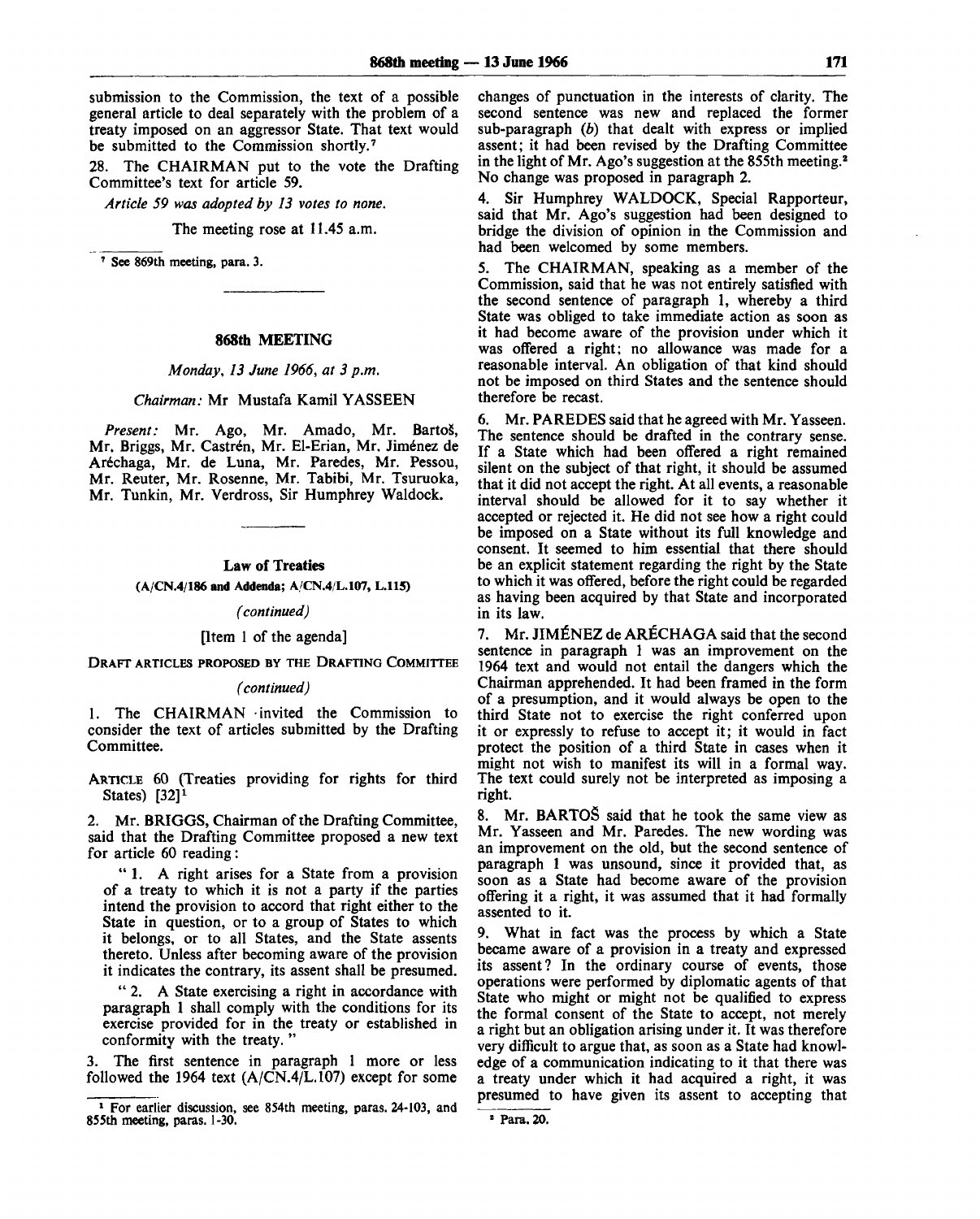submission to the Commission, the text of a possible general article to deal separately with the problem of a treaty imposed on an aggressor State. That text would be submitted to the Commission shortly.<sup>7</sup>

28. The CHAIRMAN put to the vote the Drafting Committee's text for article 59.

*Article 59 was adopted by 13 votes to none.*

The meeting rose at 11.45 a.m.

7 See 869th meeting, para. 3.

#### **868th MEETING**

#### *Monday, 13 June 1966, at 3 p.m.*

#### *Chairman:* Mr Mustafa Kamil YASSEEN

Present: Mr. Ago, Mr. Amado, Mr. Bartoš, Mr. Briggs, Mr. Castrén, Mr. El-Erian, Mr. Jiménez de Arechaga, Mr. de Luna, Mr. Paredes, Mr. Pessou, Mr. Reuter, Mr. Rosenne, Mr. Tabibi. Mr. Tsuruoka, Mr. Tunkin, Mr. Verdross, Sir Humphrey Waldock.

#### **Law** of **Treaties**

**(A/CN.4/186 and Addenda; A/CN.4/L.107, L.115)**

#### *(continued)*

#### [Item 1 of the agenda]

DRAFT ARTICLES PROPOSED BY THE DRAFTING COMMITTEE

#### *(continued)*

1. The CHAIRMAN invited the Commission to consider the text of articles submitted by the Drafting Committee.

ARTICLE 60 (Treaties providing for rights for third States) [32]*<sup>1</sup>*

2. Mr. BRIGGS, Chairman of the Drafting Committee, said that the Drafting Committee proposed a new text for article 60 reading:

" 1. A right arises for a State from a provision of a treaty to which it is not a party if the parties intend the provision to accord that right either to the State in question, or to a group of States to which it belongs, or to all States, and the State assents thereto. Unless after becoming aware of the provision it indicates the contrary, its assent shall be presumed.

" 2. A State exercising a right in accordance with paragraph 1 shall comply with the conditions for its exercise provided for in the treaty or established in conformity with the treaty. "

3. The first sentence in paragraph 1 more or less followed the 1964 text (A/CN.4/L.107) except for some

changes of punctuation in the interests of clarity. The second sentence was new and replaced the former sub-paragraph  $(b)$  that dealt with express or implied assent; it had been revised by the Drafting Committee in the light of Mr. Ago's suggestion at the 855th meeting.<sup>2</sup> No change was proposed in paragraph 2.

4. Sir Humphrey WALDOCK, Special Rapporteur, said that Mr. Ago's suggestion had been designed to bridge the division of opinion in the Commission and had been welcomed by some members.

5. The CHAIRMAN, speaking as a member of the Commission, said that he was not entirely satisfied with the second sentence of paragraph 1, whereby a third State was obliged to take immediate action as soon as it had become aware of the provision under which it was offered a right; no allowance was made for a reasonable interval. An obligation of that kind should not be imposed on third States and the sentence should therefore be recast.

6. Mr. PAREDES said that he agreed with Mr. Yasseen. The sentence should be drafted in the contrary sense. If a State which had been offered a right remained silent on the subject of that right, it should be assumed that it did not accept the right. At all events, a reasonable interval should be allowed for it to say whether it accepted or rejected it. He did not see how a right could be imposed on a State without its full knowledge and consent. It seemed to him essential that there should be an explicit statement regarding the right by the State to which it was offered, before the right could be regarded as having been acquired by that State and incorporated in its law.

7. Mr. JIMENEZ de ARECHAGA said that the second sentence in paragraph 1 was an improvement on the 1964 text and would not entail the dangers which the Chairman apprehended. It had been framed in the form of a presumption, and it would always be open to the third State not to exercise the right conferred upon it or expressly to refuse to accept it; *it* would in fact protect the position of a third State in cases when it might not wish to manifest its will in a formal way. The text could surely not be interpreted as imposing a right.

8. Mr. BARTOS said that he took the same view as Mr. Yasseen and Mr. Paredes. The new wording was an improvement on the old, but the second sentence of paragraph 1 was unsound, since it provided that, as soon as a State had become aware of the provision offering it a right, it was assumed that it had formally assented to it.

9. What in fact was the process by which a State became aware of a provision in a treaty and expressed its assent? In the ordinary course of events, those operations were performed by diplomatic agents of that State who might or might not be qualified to express the formal consent of the State to accept, not merely a right but an obligation arising under it. It was therefore very difficult to argue that, as soon as a State had knowledge of a communication indicating to it that there was a treaty under which it had acquired a right, it was presumed to have given its assent to accepting that

<sup>&</sup>lt;sup>1</sup> For earlier discussion, see 854th meeting, paras. 24-103, and 855th meeting, paras. 1-30.

<sup>&</sup>lt;sup>2</sup> Para. 20.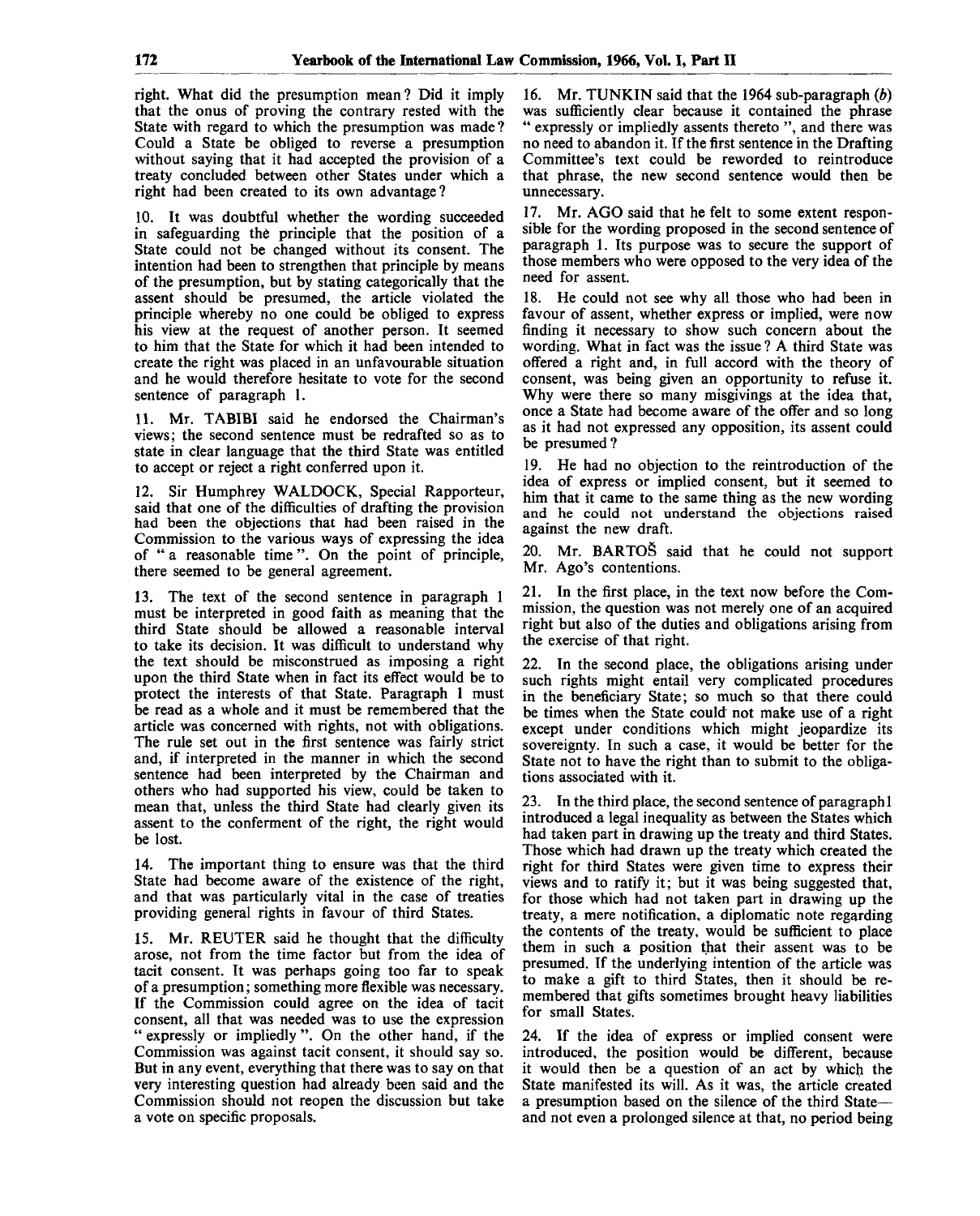right. What did the presumption mean? Did it imply that the onus of proving the contrary rested with the State with regard to which the presumption was made ? Could a State be obliged to reverse a presumption without saying that it had accepted the provision of a treaty concluded between other States under which a right had been created to its own advantage?

10. It was doubtful whether the wording succeeded in safeguarding the principle that the position of a State could not be changed without its consent. The intention had been to strengthen that principle by means of the presumption, but by stating categorically that the assent should be presumed, the article violated the principle whereby no one could be obliged to express his view at the request of another person. It seemed to him that the State for which it had been intended to create the right was placed in an unfavourable situation and he would therefore hesitate to vote for the second sentence of paragraph 1.

11. Mr. TABIBI said he endorsed the Chairman's views; the second sentence must be redrafted so as to state in clear language that the third State was entitled to accept or reject a right conferred upon it.

12. Sir Humphrey WALDOCK, Special Rapporteur, said that one of the difficulties of drafting the provision had been the objections that had been raised in the Commission to the various ways of expressing the idea of " a reasonable time ". On the point of principle, there seemed to be general agreement.

13. The text of the second sentence in paragraph 1 must be interpreted in good faith as meaning that the third State should be allowed a reasonable interval to take its decision. It was difficult to understand why the text should be misconstrued as imposing a right upon the third State when in fact its effect would be to protect the interests of that State. Paragraph 1 must be read as a whole and it must be remembered that the article was concerned with rights, not with obligations. The rule set out in the first sentence was fairly strict and, if interpreted in the manner in which the second sentence had been interpreted by the Chairman and others who had supported his view, could be taken to mean that, unless the third State had clearly given its assent to the conferment of the right, the right would be lost.

14. The important thing to ensure was that the third State had become aware of the existence of the right, and that was particularly vital in the case of treaties providing general rights in favour of third States.

15. Mr. REUTER said he thought that the difficulty arose, not from the time factor but from the idea of tacit consent. It was perhaps going too far to speak of a presumption; something more flexible was necessary. If the Commission could agree on the idea of tacit consent, all that was needed was to use the expression " expressly or impliedly ". On the other hand, if the Commission was against tacit consent, it should say so. But in any event, everything that there was to say on that very interesting question had already been said and the Commission should not reopen the discussion but take a vote on specific proposals.

16. Mr. TUNKIN said that the 1964 sub-paragraph *(b)* was sufficiently clear because it contained the phrase " expressly or impliedly assents thereto", and there was no need to abandon it. If the first sentence in the Drafting Committee's text could be reworded to reintroduce that phrase, the new second sentence would then be unnecessary.

17. Mr. AGO said that he felt to some extent responsible for the wording proposed in the second sentence of paragraph 1. Its purpose was to secure the support of those members who were opposed to the very idea of the need for assent.

18. He could not see why all those who had been in favour of assent, whether express or implied, were now finding it necessary to show such concern about the wording. What in fact was the issue ? A third State was offered a right and, in full accord with the theory of consent, was being given an opportunity to refuse it. Why were there so many misgivings at the idea that, once a State had become aware of the offer and so long as it had not expressed any opposition, its assent could be presumed?

19. He had no objection to the reintroduction of the idea of express or implied consent, but it seemed to him that it came to the same thing as the new wording and he could not understand the objections raised against the new draft.

20. Mr. BARTOS said that he could not support Mr. Ago's contentions.

21. In the first place, in the text now before the Commission, the question was not merely one of an acquired right but also of the duties and obligations arising from the exercise of that right.

22. In the second place, the obligations arising under such rights might entail very complicated procedures in the beneficiary State; so much so that there could be times when the State could not make use of a right except under conditions which might jeopardize its sovereignty. In such a case, it would be better for the State not to have the right than to submit to the obligations associated with it.

23. In the third place, the second sentence of paragraph 1 introduced a legal inequality as between the States which had taken part in drawing up the treaty and third States. Those which had drawn up the treaty which created the right for third States were given time to express their views and to ratify it; but it was being suggested that, for those which had not taken part in drawing up the treaty, a mere notification, a diplomatic note regarding the contents of the treaty, would be sufficient to place them in such a position that their assent was to be presumed. If the underlying intention of the article was to make a gift to third States, then it should be remembered that gifts sometimes brought heavy liabilities for small States.

24. If the idea of express or implied consent were introduced, the position would be different, because it would then be a question of an act by which the State manifested its will. As it was, the article created a presumption based on the silence of the third State and not even a prolonged silence at that, no period being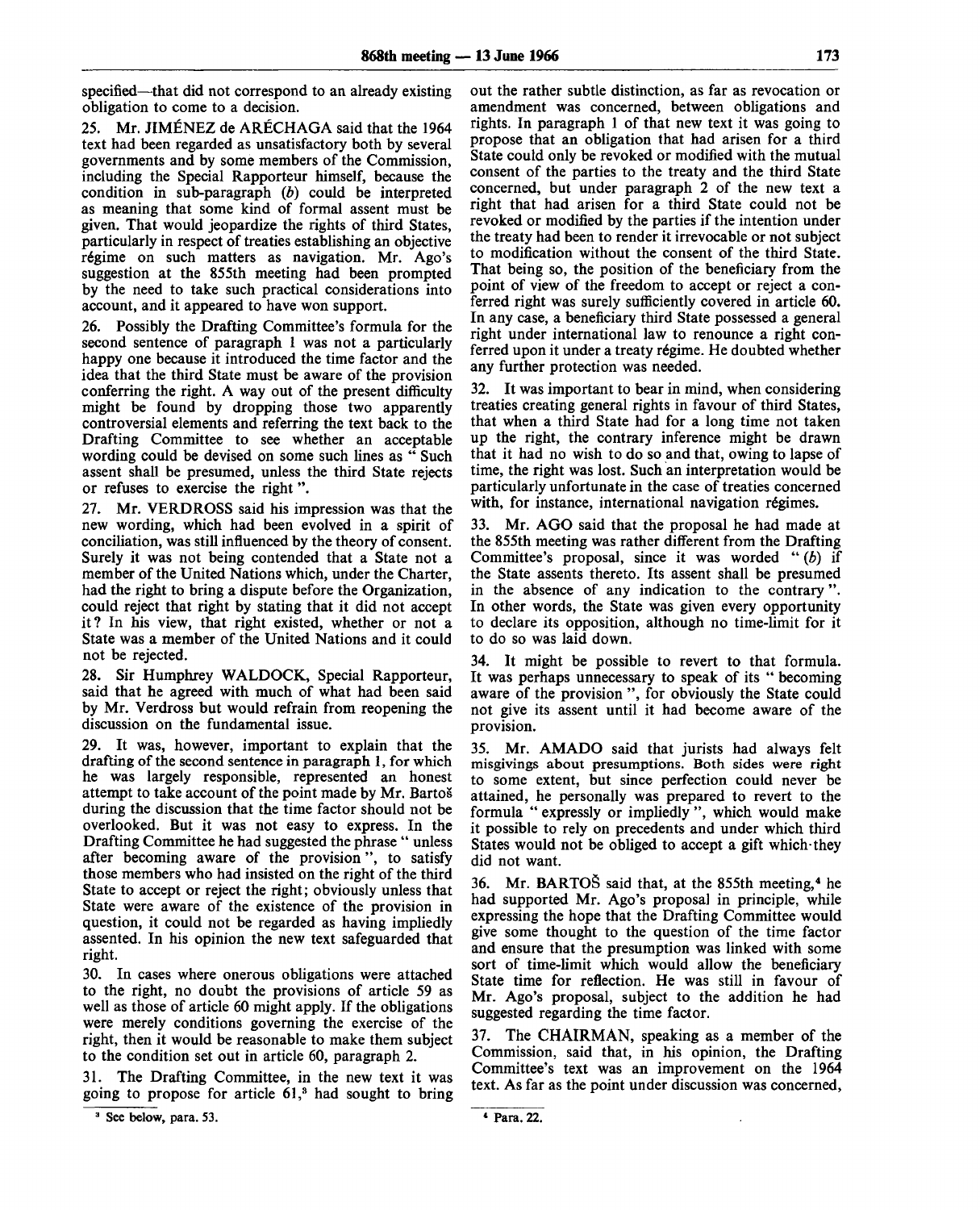specified—that did not correspond to an already existing obligation to come to a decision.

25. Mr. JIMENEZ de ARECHAGA said that the 1964 text had been regarded as unsatisfactory both by several governments and by some members of the Commission, including the Special Rapporteur himself, because the condition in sub-paragraph *(b)* could be interpreted as meaning that some kind of formal assent must be given. That would jeopardize the rights of third States, particularly in respect of treaties establishing an objective régime on such matters as navigation. Mr. Ago's suggestion at the 855th meeting had been prompted by the need to take such practical considerations into account, and it appeared to have won support.

26. Possibly the Drafting Committee's formula for the second sentence of paragraph 1 was not a particularly happy one because it introduced the time factor and the idea that the third State must be aware of the provision conferring the right. A way out of the present difficulty might be found by dropping those two apparently controversial elements and referring the text back to the Drafting Committee to see whether an acceptable wording could be devised on some such lines as " Such assent shall be presumed, unless the third State rejects or refuses to exercise the right".

27. Mr. VERDROSS said his impression was that the new wording, which had been evolved in a spirit of conciliation, was still influenced by the theory of consent. Surely it was not being contended that a State not a member of the United Nations which, under the Charter, had the right to bring a dispute before the Organization, could reject that right by stating that it did not accept it? In his view, that right existed, whether or not a State was a member of the United Nations and it could not be rejected.

28. Sir Humphrey WALDOCK, Special Rapporteur, said that he agreed with much of what had been said by Mr. Verdross but would refrain from reopening the discussion on the fundamental issue.

29. It was, however, important to explain that the drafting of the second sentence in paragraph 1, for which he was largely responsible, represented an honest attempt to take account of the point made by Mr. Bartos during the discussion that the time factor should not be overlooked. But it was not easy to express. In the Drafting Committee he had suggested the phrase " unless after becoming aware of the provision", to satisfy those members who had insisted on the right of the third State to accept or reject the right; obviously unless that State were aware of the existence of the provision in question, it could not be regarded as having impliedly assented. In his opinion the new text safeguarded that right.

30. In cases where onerous obligations were attached to the right, no doubt the provisions of article 59 as well as those of article 60 might apply. If the obligations were merely conditions governing the exercise of the right, then it would be reasonable to make them subject to the condition set out in article 60, paragraph 2.

The Drafting Committee, in the new text it was going to propose for article 61,<sup>3</sup> had sought to bring

out the rather subtle distinction, as far as revocation or amendment was concerned, between obligations and rights. In paragraph 1 of that new text it was going to propose that an obligation that had arisen for a third State could only be revoked or modified with the mutual consent of the parties to the treaty and the third State concerned, but under paragraph 2 of the new text a right that had arisen for a third State could not be revoked or modified by the parties if the intention under the treaty had been to render it irrevocable or not subject to modification without the consent of the third State. That being so, the position of the beneficiary from the point of view of the freedom to accept or reject a conferred right was surely sufficiently covered in article 60. In any case, a beneficiary third State possessed a general right under international law to renounce a right conferred upon it under a treaty régime. He doubted whether any further protection was needed.

32. It was important to bear in mind, when considering treaties creating general rights in favour of third States, that when a third State had for a long time not taken up the right, the contrary inference might be drawn that it had no wish to do so and that, owing to lapse of time, the right was lost. Such an interpretation would be particularly unfortunate in the case of treaties concerned with, for instance, international navigation régimes.

33. Mr. AGO said that the proposal he had made at the 855th meeting was rather different from the Drafting Committee's proposal, since it was worded " *(b)* if the State assents thereto. Its assent shall be presumed in the absence of any indication to the contrary". In other words, the State was given every opportunity to declare its opposition, although no time-limit for it to do so was laid down.

34. It might be possible to revert to that formula. It was perhaps unnecessary to speak of its " becoming aware of the provision ", for obviously the State could not give its assent until it had become aware of the provision.

35. Mr. AMADO said that jurists had always felt misgivings about presumptions. Both sides were right to some extent, but since perfection could never be attained, he personally was prepared to revert to the formula " expressly or impliedly ", which would make it possible to rely on precedents and under which third States would not be obliged to accept a gift which-they did not want.

36. Mr. BARTOŠ said that, at the 855th meeting,<sup>4</sup> he had supported Mr. Ago's proposal in principle, while expressing the hope that the Drafting Committee would give some thought to the question of the time factor and ensure that the presumption was linked with some sort of time-limit which would allow the beneficiary State time for reflection. He was still in favour of Mr. Ago's proposal, subject to the addition he had suggested regarding the time factor.

37. The CHAIRMAN, speaking as a member of the Commission, said that, in his opinion, the Drafting Committee's text was an improvement on the 1964 text. As far as the point under discussion was concerned,

<sup>&</sup>lt;sup>3</sup> See below, para. 53.

<sup>\*</sup> Para. 22.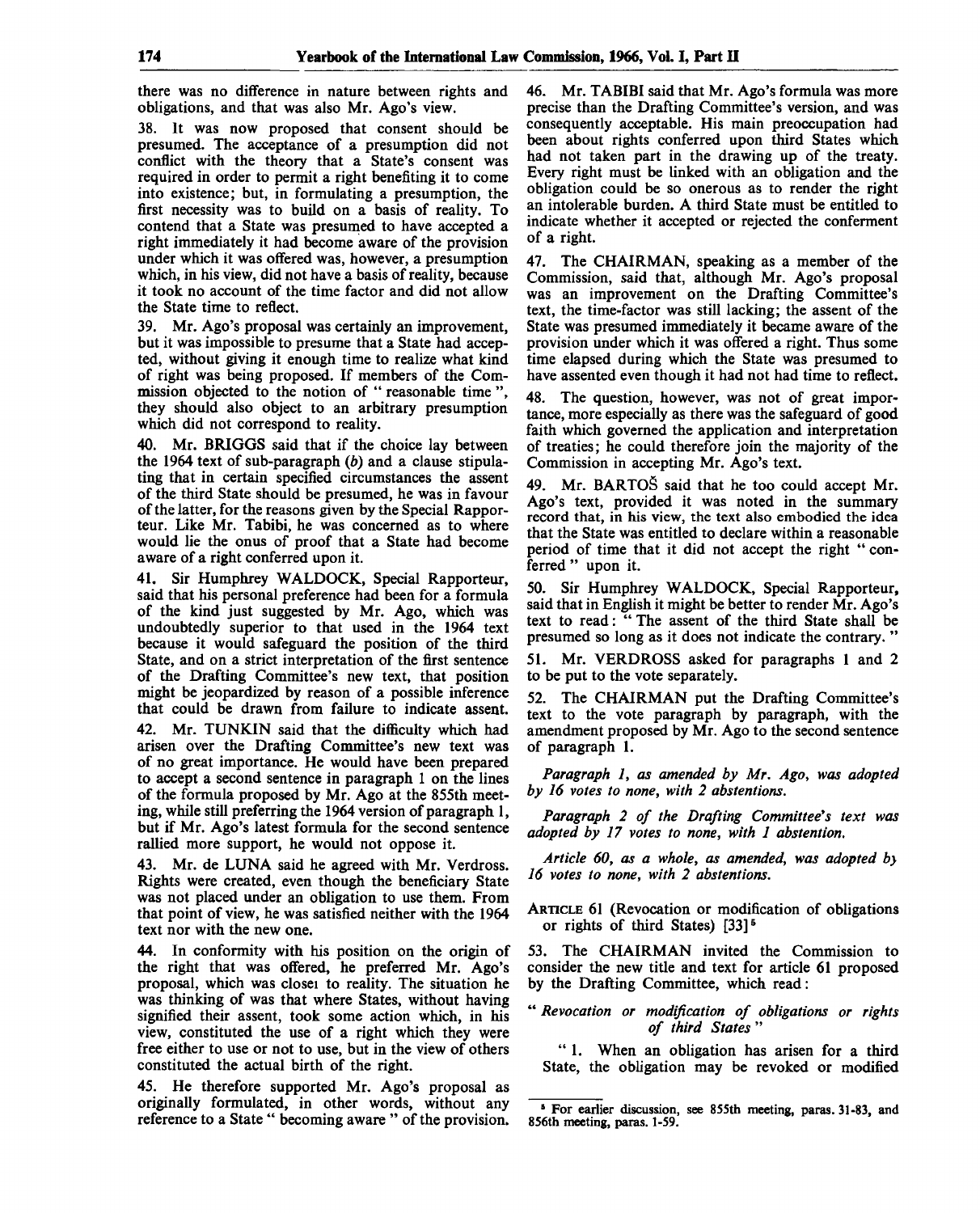there was no difference in nature between rights and obligations, and that was also Mr. Ago's view.

38. It was now proposed that consent should be presumed. The acceptance of a presumption did not conflict with the theory that a State's consent was required in order to permit a right benefiting it to come into existence; but, in formulating a presumption, the first necessity was to build on a basis of reality. To contend that a State was presumed to have accepted a right immediately it had become aware of the provision under which it was offered was, however, a presumption which, in his view, did not have a basis of reality, because it took no account of the time factor and did not allow the State time to reflect.

39. Mr. Ago's proposal was certainly an improvement, but it was impossible to presume that a State had accepted, without giving it enough time to realize what kind of right was being proposed. If members of the Commission objected to the notion of " reasonable time ", they should also object to an arbitrary presumption which did not correspond to reality.

40. Mr. BRIGGS said that if the choice lay between the 1964 text of sub-paragraph *(b)* and a clause stipulating that in certain specified circumstances the assent of the third State should be presumed, he was in favour of the latter, for the reasons given by the Special Rapporteur. Like Mr. Tabibi, he was concerned as to where would lie the onus of proof that a State had become aware of a right conferred upon *it.*

41. Sir Humphrey WALDOCK, Special Rapporteur, said that his personal preference had been for a formula of the kind just suggested by Mr. Ago, which was undoubtedly superior to that used in the 1964 text because it would safeguard the position of the third State, and on a strict interpretation of the first sentence of the Drafting Committee's new text, that position might be jeopardized by reason of a possible inference that could be drawn from failure to indicate assent. 42. Mr. TUNKIN said that the difficulty which had arisen over the Drafting Committee's new text was of no great importance. He would have been prepared to accept a second sentence in paragraph 1 on the lines of the formula proposed by Mr. Ago at the 855th meeting, while still preferring the 1964 version of paragraph 1, but if Mr. Ago's latest formula for the second sentence rallied more support, he would not oppose it.

43. Mr. de LUNA said he agreed with Mr. Verdross. Rights were created, even though the beneficiary State was not placed under an obligation to use them. From that point of view, he was satisfied neither with the 1964 text nor with the new one.

44. In conformity with his position on the origin of the right that was offered, he preferred Mr. Ago's proposal, which was closei to reality. The situation he was thinking of was that where States, without having signified their assent, took some action which, in his view, constituted the use of a right which they were free either to use or not to use, but in the view of others constituted the actual birth of the right.

45. He therefore supported Mr. Ago's proposal as originally formulated, in other words, without any reference to a State " becoming aware " of the provision. 46. Mr. TABIBI said that Mr. Ago's formula was more precise than the Drafting Committee's version, and was consequently acceptable. His main preoccupation had been about rights conferred upon third States which had not taken part in the drawing up of the treaty. Every right must be linked with an obligation and the obligation could be so onerous as to render the right an intolerable burden. A third State must be entitled to indicate whether it accepted or rejected the conferment of a right.

47. The CHAIRMAN, speaking as a member of the Commission, said that, although Mr. Ago's proposal was an improvement on the Drafting Committee's text, the time-factor was still lacking; the assent of the State was presumed immediately it became aware of the provision under which it was offered a right. Thus some time elapsed during which the State was presumed to have assented even though it had not had time to reflect.

48. The question, however, was not of great importance, more especially as there was the safeguard of good faith which governed the application and interpretation of treaties; he could therefore join the majority of the Commission in accepting Mr. Ago's text.

49. Mr. BARTOS said that he too could accept Mr. Ago's text, provided it was noted in the summary record that, in his view, the text also embodied the idea that the State was entitled to declare within a reasonable period of time that it did not accept the right " conferred " upon it.

50. Sir Humphrey WALDOCK, Special Rapporteur, said that in English it might be better to render Mr. Ago's text to read: " The assent of the third State shall be presumed so long as it does not indicate the contrary. "

51. Mr. VERDROSS asked for paragraphs 1 and 2 to be put to the vote separately.

52. The CHAIRMAN put the Drafting Committee's text to the vote paragraph by paragraph, with the amendment proposed by Mr. Ago to the second sentence of paragraph 1.

*Paragraph 1, as amended by Mr. Ago, was adopted by 16 votes to none, with 2 abstentions.*

Paragraph 2 of the Drafting Committee's text was *adopted by 17 votes to none, with 1 abstention.*

*Article 60, as a whole, as amended, was adopted by 16 votes to none, with 2 abstentions.*

ARTICLE 61 (Revocation or modification of obligations or rights of third States)  $[33]$ <sup>5</sup>

53. The CHAIRMAN invited the Commission to consider the new title and text for article 61 proposed by the Drafting Committee, which read:

" *Revocation or modification of obligations or rights of third States* "

" 1. When an obligation has arisen for a third State, the obligation may be revoked or modified

<sup>&</sup>lt;sup>5</sup> For earlier discussion, see 855th meeting, paras. 31-83, and 856th meeting, paras. 1-59.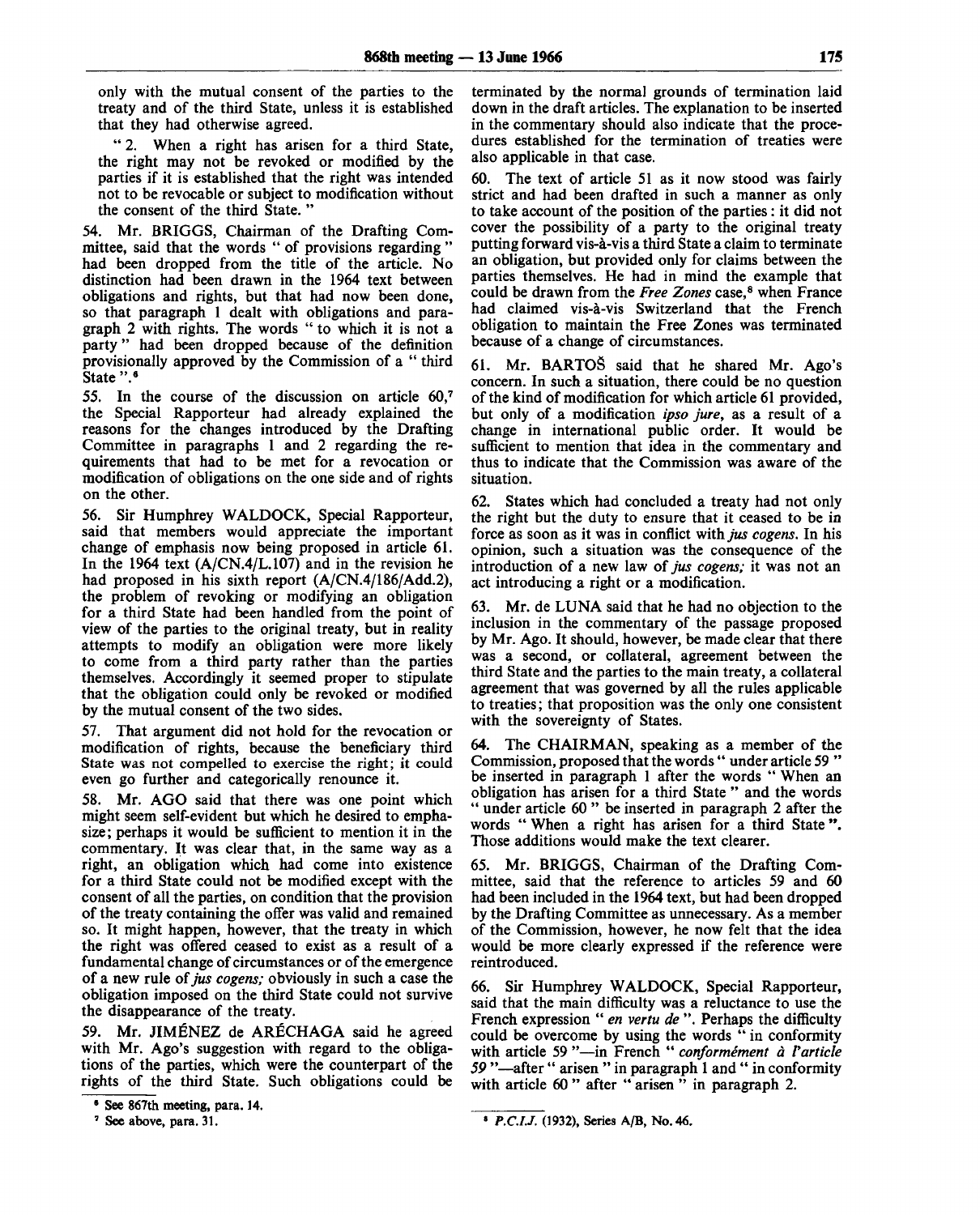only with the mutual consent of the parties to the treaty and of the third State, unless it is established that they had otherwise agreed.

" 2. When a right has arisen for a third State, the right may not be revoked or modified by the parties if it is established that the right was intended not to be revocable or subject to modification without the consent of the third State. "

54. Mr. BRIGGS, Chairman of the Drafting Committee, said that the words " of provisions regarding " had been dropped from the title of the article. No distinction had been drawn in the 1964 text between obligations and rights, but that had now been done, so that paragraph 1 dealt with obligations and paragraph 2 with rights. The words " to which it is not a party" had been dropped because of the definition provisionally approved by the Commission of a " third State ".<sup>6</sup>

55. In the course of the discussion on article 60,<sup>7</sup> the Special Rapporteur had already explained the reasons for the changes introduced by the Drafting Committee in paragraphs 1 and 2 regarding the requirements that had to be met for a revocation or modification of obligations on the one side and of rights on the other.

56. Sir Humphrey WALDOCK, Special Rapporteur, said that members would appreciate the important change of emphasis now being proposed in article 61. In the 1964 text (A/CN.4/L.107) and in the revision he had proposed in his sixth report (A/CN.4/186/Add.2), the problem of revoking or modifying an obligation for a third State had been handled from the point of view of the parties to the original treaty, but in reality attempts to modify an obligation were more likely to come from a third party rather than the parties themselves. Accordingly it seemed proper to stipulate that the obligation could only be revoked or modified by the mutual consent of the two sides.

57. That argument did not hold for the revocation or modification of rights, because the beneficiary third State was not compelled to exercise the right; it could even go further and categorically renounce it.

58. Mr. AGO said that there was one point which might seem self-evident but which he desired to emphasize; perhaps it would be sufficient to mention it in the commentary. It was clear that, in the same way as a right, an obligation which had come into existence for a third State could not be modified except with the consent of all the parties, on condition that the provision of the treaty containing the offer was valid and remained so. It might happen, however, that the treaty in which the right was offered ceased to exist as a result of a fundamental change of circumstances or of the emergence of a new rule of *jus cogens;* obviously in such a case the obligation imposed on the third State could not survive the disappearance of the treaty.

59. Mr. JIMENEZ de ARECHAGA said he agreed with Mr. Ago's suggestion with regard to the obligations of the parties, which were the counterpart of the rights of the third State. Such obligations could be

terminated by the normal grounds of termination laid down in the draft articles. The explanation to be inserted in the commentary should also indicate that the procedures established for the termination of treaties were also applicable in that case.

60. The text of article 51 as it now stood was fairly strict and had been drafted in such a manner as only to take account of the position of the parties: it did not cover the possibility of a party to the original treaty putting forward vis-a-vis a third State a claim to terminate an obligation, but provided only for claims between the parties themselves. He had in mind the example that could be drawn from the *Free Zones* case,<sup>8</sup> when France had claimed vis-à-vis Switzerland that the French obligation to maintain the Free Zones was terminated because of a change of circumstances.

61. Mr. BARTOS said that he shared Mr. Ago's concern. In such a situation, there could be no question of the kind of modification for which article 61 provided, but only of a modification *ipso jure,* as a result of a change in international public order. It would be sufficient to mention that idea in the commentary and thus to indicate that the Commission was aware of the situation.

62. States which had concluded a treaty had not only the right but the duty to ensure that it ceased to be in force as soon as it was in conflict *with jus cogens.* In his opinion, such a situation was the consequence of the introduction of a new law of *jus cogens;* it was not an act introducing a right or a modification.

63. Mr. de LUNA said that he had no objection to the inclusion in the commentary of the passage proposed by Mr. Ago. It should, however, be made clear that there was a second, or collateral, agreement between the third State and the parties to the main treaty, a collateral agreement that was governed by all the rules applicable to treaties; that proposition was the only one consistent with the sovereignty of States.

64. The CHAIRMAN, speaking as a member of the Commission, proposed that the words " under article 59 " be inserted in paragraph 1 after the words " When an obligation has arisen for a third State " and the words " under article 60" be inserted in paragraph 2 after the words " When a right has arisen for a third State ". Those additions would make the text clearer.

65. Mr. BRIGGS, Chairman of the Drafting Committee, said that the reference to articles 59 and 60 had been included in the 1964 text, but had been dropped by the Drafting Committee as unnecessary. As a member of the Commission, however, he now felt that the idea would be more clearly expressed if the reference were reintroduced.

66. Sir Humphrey WALDOCK, Special Rapporteur, said that the main difficulty was a reluctance to use the French expression " *en vertu de* ". Perhaps the difficulty could be overcome by using the words " in conformity with article 59 "—in French " *conformement a Varticle 59 "*—after " arisen " in paragraph 1 and '\* in conformity with article 60" after "arisen" in paragraph 2.

<sup>•</sup> See 867th meeting, para. 14.

<sup>&</sup>lt;sup>7</sup> See above, para. 31.

<sup>8</sup>  *P.C.I.J.* (1932), Series A/B, No. 46.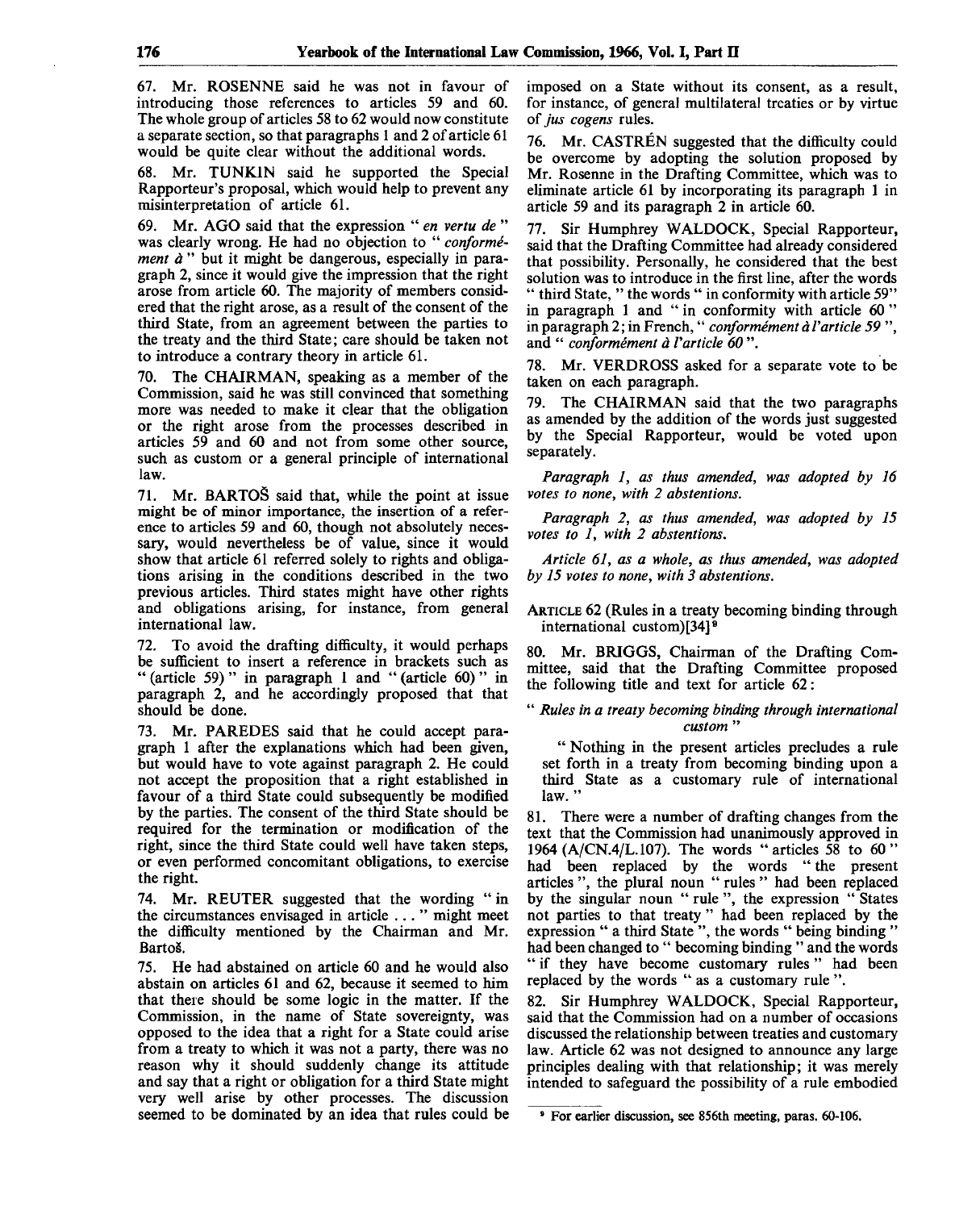67. Mr. ROSENNE said he was not in favour of introducing those references to articles 59 and 60. The whole group of articles 58 to 62 would now constitute a separate section, so that paragraphs 1 and 2 of article 61 would be quite clear without the additional words.

68. Mr. TUNK1N said he supported the Special Rapporteur's proposal, which would help to prevent any misinterpretation of article 61.

69. Mr. AGO said that the expression " *en vertu de* " was clearly wrong. He had no objection to " *conformement à* " but it might be dangerous, especially in paragraph 2, since it would give the impression that the right arose from article 60. The majority of members considered that the right arose, as a result of the consent of the third State, from an agreement between the parties to the treaty and the third State; care should be taken not to introduce a contrary theory in article 61.

70. The CHAIRMAN, speaking as a member of the Commission, said he was still convinced that something more was needed to make it clear that the obligation or the right arose from the processes described in articles 59 and 60 and not from some other source, such as custom or a general principle of international law.

71. Mr. BARTOS said that, while the point at issue might be of minor importance, the insertion of a reference to articles 59 and 60, though not absolutely necessary, would nevertheless be of value, since it would show that article 61 referred solely to rights and obligations arising in the conditions described in the two previous articles. Third states might have other rights and obligations arising, for instance, from general international law.

To avoid the drafting difficulty, it would perhaps be sufficient to insert a reference in brackets such as " (article 59) " in paragraph 1 and " (article 60) " in paragraph 2, and he accordingly proposed that that should be done.

73. Mr. PAREDES said that he could accept paragraph 1 after the explanations which had been given, but would have to vote against paragraph 2. He could not accept the proposition that a right established in favour of a third State could subsequently be modified by the parties. The consent of the third State should be required for the termination or modification of the right, since the third State could well have taken steps, or even performed concomitant obligations, to exercise the right.

74. Mr. REUTER suggested that the wording "in the circumstances envisaged in article ... " might meet the difficulty mentioned by the Chairman and Mr. Barto§.

75. He had abstained on article 60 and he would also abstain on articles 61 and 62, because it seemed to him that there should be some logic in the matter. If the Commission, in the name of State sovereignty, was opposed to the idea that a right for a State could arise from a treaty to which it was not a party, there was no reason why it should suddenly change its attitude and say that a right or obligation for a third State might very well arise by other processes. The discussion seemed to be dominated by an idea that rules could be imposed on a State without its consent, as a result, for instance, of general multilateral treaties or by virtue of *jus cogens* rules.

76. Mr. CASTREN suggested that the difficulty could be overcome by adopting the solution proposed by Mr. Rosenne in the Drafting Committee, which was to eliminate article 61 by incorporating its paragraph 1 in article 59 and its paragraph 2 in article 60.

77. Sir Humphrey WALDOCK, Special Rapporteur, said that the Drafting Committee had already considered that possibility. Personally, he considered that the best solution was to introduce in the first line, after the words " third State, " the words " in conformity with article 59" in paragraph 1 and " in conformity with article 60 " in paragraph 2; in French," *conformement a Varticle 59* ", and " *conformement a Varticle 60* ".

78. Mr. VERDROSS asked for a separate vote to be taken on each paragraph.

79. The CHAIRMAN said that the two paragraphs as amended by the addition of the words just suggested by the Special Rapporteur, would be voted upon separately.

*Paragraph 1, as thus amended, was adopted by 16 votes to none, with 2 abstentions.*

*Paragraph 2, as thus amended, was adopted by 15 votes to 1, with 2 abstentions.*

*Article 61, as a whole, as thus amended, was adopted by 15 votes to none, with 3 abstentions.*

ARTICLE 62 (Rules in a treaty becoming binding through international custom)  $[34]$ <sup>9</sup>

80. Mr. BRIGGS, Chairman of the Drafting Committee, said that the Drafting Committee proposed the following title and text for article 62:

" *Rules in a treaty becoming binding through international custom* "

" Nothing in the present articles precludes a rule set forth in a treaty from becoming binding upon a third State as a customary rule of international law."

81. There were a number of drafting changes from the text that the Commission had unanimously approved in 1964 (A/CN.4/L. 107). The words "articles 58 to 60" had been replaced by the words " the present articles ", the plural noun " rules " had been replaced by the singular noun " rule ", the expression " States not parties to that treaty " had been replaced by the expression " a third State", the words " being binding" had been changed to " becoming binding " and the words " if they have become customary rules" had been replaced by the words " as a customary rule ".

82. Sir Humphrey WALDOCK, Special Rapporteur, said that the Commission had on a number of occasions discussed the relationship between treaties and customary law. Article 62 was not designed to announce any large principles dealing with that relationship; it was merely intended to safeguard the possibility of a rule embodied

<sup>•</sup> For earlier discussion, see 856th meeting, paras. 60-106.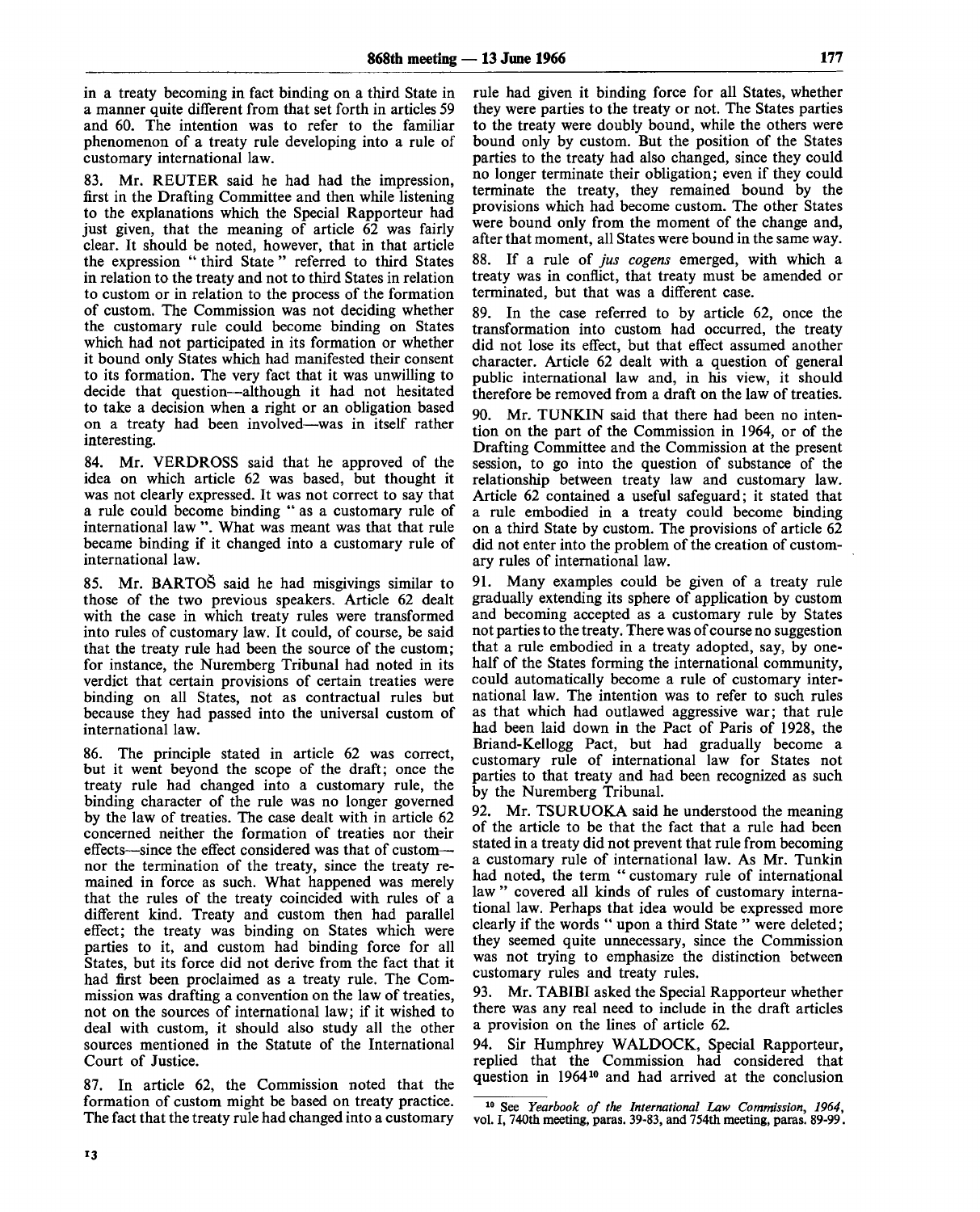in a treaty becoming in fact binding on a third State in a manner quite different from that set forth in articles 59 and 60. The intention was to refer to the familiar phenomenon of a treaty rule developing into a rule of customary international law.

83. Mr. REUTER said he had had the impression, first in the Drafting Committee and then while listening to the explanations which the Special Rapporteur had just given, that the meaning of article 62 was fairly clear. It should be noted, however, that in that article the expression " third State " referred to third States in relation to the treaty and not to third States in relation to custom or in relation to the process of the formation of custom. The Commission was not deciding whether the customary rule could become binding on States which had not participated in its formation or whether it bound only States which had manifested their consent to its formation. The very fact that it was unwilling to decide that question—although it had not hesitated to take a decision when a right or an obligation based on a treaty had been involved—was in itself rather interesting.

84. Mr. VERDROSS said that he approved of the idea on which article 62 was based, but thought it was not clearly expressed. It was not correct to say that a rule could become binding "as a customary rule of international law ". What was meant was that that rule became binding if it changed into a customary rule of international law.

85. Mr. BARTOS said he had misgivings similar to those of the two previous speakers. Article 62 dealt with the case in which treaty rules were transformed into rules of customary law. It could, of course, be said that the treaty rule had been the source of the custom; for instance, the Nuremberg Tribunal had noted in its verdict that certain provisions of certain treaties were binding on all States, not as contractual rules but because they had passed into the universal custom of international law.

86. The principle stated in article 62 was correct, but it went beyond the scope of the draft; once the treaty rule had changed into a customary rule, the binding character of the rule was no longer governed by the law of treaties. The case dealt with in article 62 concerned neither the formation of treaties nor their effects—since the effect considered was that of custom nor the termination of the treaty, since the treaty remained in force as such. What happened was merely that the rules of the treaty coincided with rules of a different kind. Treaty and custom then had parallel effect; the treaty was binding on States which were parties to it, and custom had binding force for all States, but its force did not derive from the fact that it had first been proclaimed as a treaty rule. The Commission was drafting a convention on the law of treaties, not on the sources of international law; if it wished to deal with custom, it should also study all the other sources mentioned in the Statute of the International Court of Justice.

87. In article 62, the Commission noted that the formation of custom might be based on treaty practice. The fact that the treaty rule had changed into a customary

rule had given it binding force for all States, whether they were parties to the treaty or not. The States parties to the treaty were doubly bound, while the others were bound only by custom. But the position of the States parties to the treaty had also changed, since they could no longer terminate their obligation; even if they could terminate the treaty, they remained bound by the provisions which had become custom. The other States were bound only from the moment of the change and, after that moment, all States were bound in the same way.

88. If a rule of *jus cogens* emerged, with which a treaty was in conflict, that treaty must be amended or terminated, but that was a different case.

89. In the case referred to by article 62, once the transformation into custom had occurred, the treaty did not lose its effect, but that effect assumed another character. Article 62 dealt with a question of general public international law and, in his view, it should therefore be removed from a draft on the law of treaties.

90. Mr. TUNKIN said that there had been no intention on the part of the Commission in 1964, or of the Drafting Committee and the Commission at the present session, to go into the question of substance of the relationship between treaty law and customary law. Article 62 contained a useful safeguard; it stated that a rule embodied in a treaty could become binding on a third State by custom. The provisions of article 62 did not enter into the problem of the creation of customary rules of international law.

91. Many examples could be given of a treaty rule gradually extending its sphere of application by custom and becoming accepted as a customary rule by States not parties to the treaty. There was of course no suggestion that a rule embodied in a treaty adopted, say, by onehalf of the States forming the international community, could automatically become a rule of customary international law. The intention was to refer to such rules as that which had outlawed aggressive war; that rule had been laid down in the Pact of Paris of 1928, the Briand-Kellogg Pact, but had gradually become a customary rule of international law for States not parties to that treaty and had been recognized as such by the Nuremberg Tribunal.

92. Mr. TSURUOKA said he understood the meaning of the article to be that the fact that a rule had been stated in a treaty did not prevent that rule from becoming a customary rule of international law. As Mr. Tunkin had noted, the term " customary rule of international law" covered all kinds of rules of customary international law. Perhaps that idea would be expressed more clearly if the words " upon a third State " were deleted; they seemed quite unnecessary, since the Commission was not trying to emphasize the distinction between customary rules and treaty rules.

93. Mr. TABIBI asked the Special Rapporteur whether there was any real need to include in the draft articles a provision on the lines of article 62.

94. Sir Humphrey WALDOCK, Special Rapporteur, replied that the Commission had considered that question in 1964<sup>10</sup> and had arrived at the conclusion

<sup>10</sup> See *Yearbook of the International Law Commission, 1964,* vol. I, 740th meeting, paras. 39-83, and 754th meeting, paras. 89-99.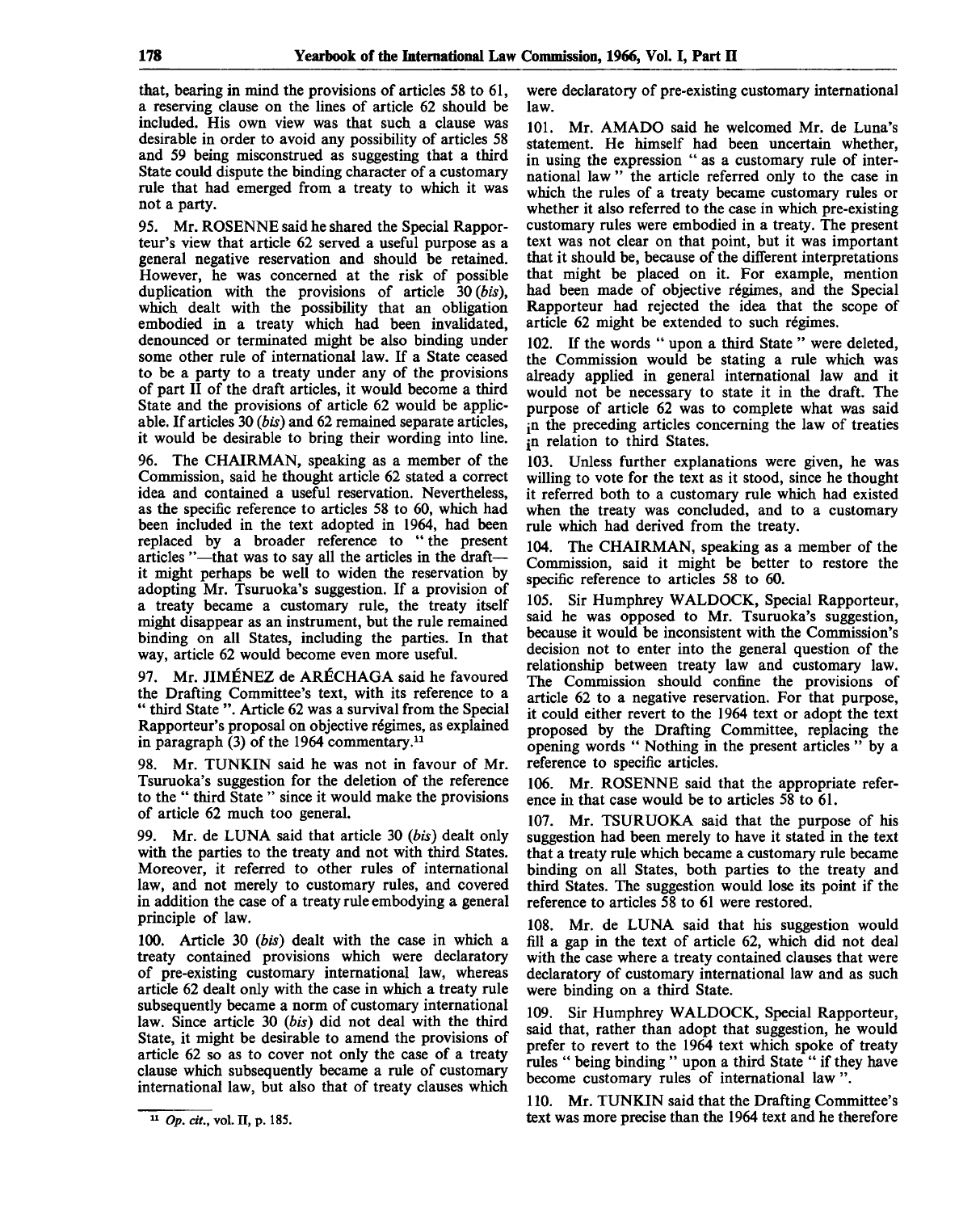that, bearing in mind the provisions of articles 58 to 61, a reserving clause on the lines of article 62 should be included. His own view was that such a clause was desirable in order to avoid any possibility of articles 58 and 59 being misconstrued as suggesting that a third State could dispute the binding character of a customary rule that had emerged from a treaty to which it was not a party.

95. Mr. ROSENNE said he shared the Special Rapporteur's view that article 62 served a useful purpose as a general negative reservation and should be retained. However, he was concerned at the risk of possible duplication with the provisions of article 30 *(bis),* which dealt with the possibility that an obligation embodied in a treaty which had been invalidated, denounced or terminated might be also binding under some other rule of international law. If a State ceased to be a party to a treaty under any of the provisions of part II of the draft articles, it would become a third State and the provisions of article 62 would be applicable. If articles 30 *(bis)* and 62 remained separate articles, it would be desirable to bring their wording into line.

96. The CHAIRMAN, speaking as a member of the Commission, said he thought article 62 stated a correct idea and contained a useful reservation. Nevertheless, as the specific reference to articles 58 to 60, which had been included in the text adopted in 1964, had been replaced by a broader reference to " the present articles "—that was to say all the articles in the draft it might perhaps be well to widen the reservation by adopting Mr. Tsuruoka's suggestion. If a provision of a treaty became a customary rule, the treaty itself might disappear as an instrument, but the rule remained binding on all States, including the parties. In that way, article 62 would become even more useful.

97. Mr. JIMENEZ de ARECHAGA said he favoured the Drafting Committee's text, with its reference to a " third State ". Article 62 was a survival from the Special Rapporteur's proposal on objective regimes, as explained in paragraph (3) of the 1964 commentary.<sup>11</sup>

98. Mr. TUNKIN said he was not in favour of Mr. Tsuruoka's suggestion for the deletion of the reference to the " third State " since it would make the provisions of article 62 much too general.

99. Mr. de LUNA said that article 30 *(bis)* dealt only with the parties to the treaty and not with third States. Moreover, it referred to other rules of international law, and not merely to customary rules, and covered in addition the case of a treaty rule embodying a general principle of law.

100. Article 30 *(bis)* dealt with the case in which a treaty contained provisions which were declaratory of pre-existing customary international law, whereas article 62 dealt only with the case in which a treaty rule subsequently became a norm of customary international law. Since article 30 *(bis)* did not deal with the third State, it might be desirable to amend the provisions of article 62 so as to cover not only the case of a treaty clause which subsequently became a rule of customary international law, but also that of treaty clauses which

were declaratory of pre-existing customary international law.

101. Mr. AMADO said he welcomed Mr. de Luna's statement. He himself had been uncertain whether, in using the expression " as a customary rule of international law " the article referred only to the case in which the rules of a treaty became customary rules or whether it also referred to the case in which pre-existing customary rules were embodied in a treaty. The present text was not clear on that point, but it was important that it should be, because of the different interpretations that might be placed on it. For example, mention had been made of objective regimes, and the Special Rapporteur had rejected the idea that the scope of article 62 might be extended to such regimes.

102. If the words " upon a third State " were deleted, the Commission would be stating a rule which was already applied in general international law and it would not be necessary to state it in the draft. The purpose of article 62 was to complete what was said jn the preceding articles concerning the law of treaties jn relation to third States.

103. Unless further explanations were given, he was willing to vote for the text as it stood, since he thought it referred both to a customary rule which had existed when the treaty was concluded, and to a customary rule which had derived from the treaty.

104. The CHAIRMAN, speaking as a member of the Commission, said it might be better to restore the specific reference to articles 58 to 60.

105. Sir Humphrey WALDOCK, Special Rapporteur, said he was opposed to Mr. Tsuruoka's suggestion, because it would be inconsistent with the Commission's decision not to enter into the general question of the relationship between treaty law and customary law. The Commission should confine the provisions of article 62 to a negative reservation. For that purpose, it could either revert to the 1964 text or adopt the text proposed by the Drafting Committee, replacing the opening words " Nothing in the present articles " by a reference to specific articles.

106. Mr. ROSENNE said that the appropriate reference in that case would be to articles 58 to 61.

107. Mr. TSURUOKA said that the purpose of his suggestion had been merely to have it stated in the text that a treaty rule which became a customary rule became binding on all States, both parties to the treaty and third States. The suggestion would lose its point if the reference to articles 58 to 61 were restored.

108. Mr. de LUNA said that his suggestion would fill a gap in the text of article 62, which did not deal with the case where a treaty contained clauses that were declaratory of customary international law and as such were binding on a third State.

109. Sir Humphrey WALDOCK, Special Rapporteur, said that, rather than adopt that suggestion, he would prefer to revert to the 1964 text which spoke of treaty rules " being binding " upon a third State " if they have become customary rules of international law ".

110. Mr. TUNKIN said that the Drafting Committee's text was more precise than the 1964 text and he therefore

<sup>11</sup>  *Op. cit.,* vol. II, p. 185.